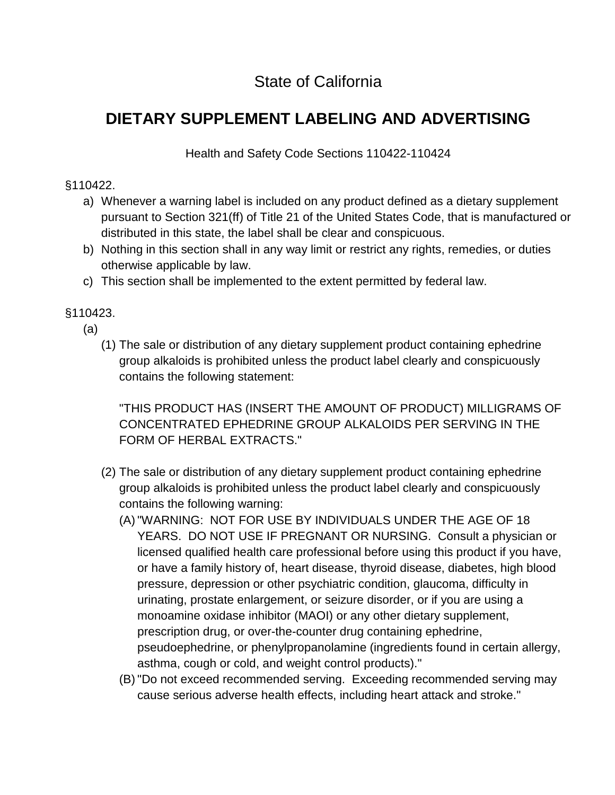# State of California

# **DIETARY SUPPLEMENT LABELING AND ADVERTISING**

Health and Safety Code Sections 110422-110424

#### §110422.

- a) Whenever a warning label is included on any product defined as a dietary supplement pursuant to Section 321(ff) of Title 21 of the United States Code, that is manufactured or distributed in this state, the label shall be clear and conspicuous.
- b) Nothing in this section shall in any way limit or restrict any rights, remedies, or duties otherwise applicable by law.
- c) This section shall be implemented to the extent permitted by federal law.

## §110423.

- (a)
	- (1) The sale or distribution of any dietary supplement product containing ephedrine group alkaloids is prohibited unless the product label clearly and conspicuously contains the following statement:

"THIS PRODUCT HAS (INSERT THE AMOUNT OF PRODUCT) MILLIGRAMS OF CONCENTRATED EPHEDRINE GROUP ALKALOIDS PER SERVING IN THE FORM OF HERBAL EXTRACTS."

- (2) The sale or distribution of any dietary supplement product containing ephedrine group alkaloids is prohibited unless the product label clearly and conspicuously contains the following warning:
	- (A)"WARNING: NOT FOR USE BY INDIVIDUALS UNDER THE AGE OF 18 YEARS. DO NOT USE IF PREGNANT OR NURSING. Consult a physician or licensed qualified health care professional before using this product if you have, or have a family history of, heart disease, thyroid disease, diabetes, high blood pressure, depression or other psychiatric condition, glaucoma, difficulty in urinating, prostate enlargement, or seizure disorder, or if you are using a monoamine oxidase inhibitor (MAOI) or any other dietary supplement, prescription drug, or over-the-counter drug containing ephedrine, pseudoephedrine, or phenylpropanolamine (ingredients found in certain allergy, asthma, cough or cold, and weight control products)."
	- (B)"Do not exceed recommended serving. Exceeding recommended serving may cause serious adverse health effects, including heart attack and stroke."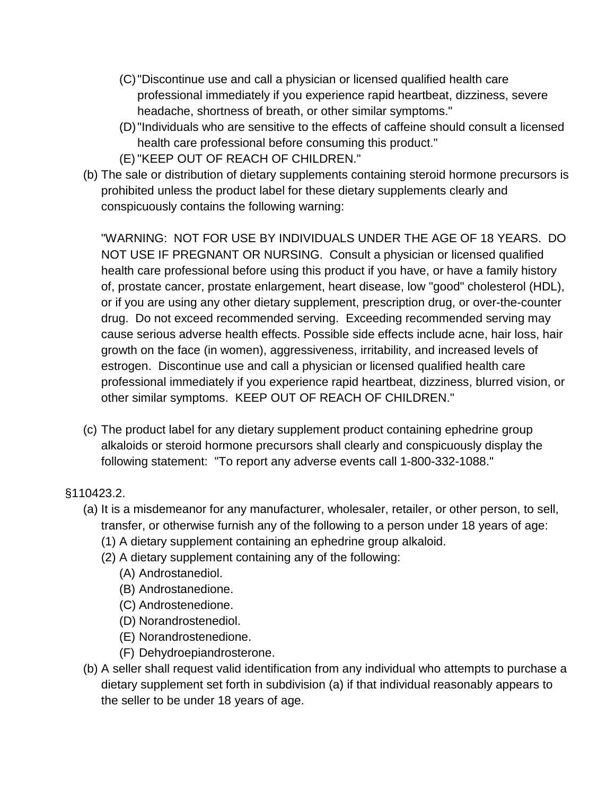- (C)"Discontinue use and call a physician or licensed qualified health care professional immediately if you experience rapid heartbeat, dizziness, severe headache, shortness of breath, or other similar symptoms."
- (D)"Individuals who are sensitive to the effects of caffeine should consult a licensed health care professional before consuming this product."
- (E)"KEEP OUT OF REACH OF CHILDREN."
- (b) The sale or distribution of dietary supplements containing steroid hormone precursors is prohibited unless the product label for these dietary supplements clearly and conspicuously contains the following warning:

"WARNING: NOT FOR USE BY INDIVIDUALS UNDER THE AGE OF 18 YEARS. DO NOT USE IF PREGNANT OR NURSING. Consult a physician or licensed qualified health care professional before using this product if you have, or have a family history of, prostate cancer, prostate enlargement, heart disease, low "good" cholesterol (HDL), or if you are using any other dietary supplement, prescription drug, or over-the-counter drug. Do not exceed recommended serving. Exceeding recommended serving may cause serious adverse health effects. Possible side effects include acne, hair loss, hair growth on the face (in women), aggressiveness, irritability, and increased levels of estrogen. Discontinue use and call a physician or licensed qualified health care professional immediately if you experience rapid heartbeat, dizziness, blurred vision, or other similar symptoms. KEEP OUT OF REACH OF CHILDREN."

(c) The product label for any dietary supplement product containing ephedrine group alkaloids or steroid hormone precursors shall clearly and conspicuously display the following statement: "To report any adverse events call 1-800-332-1088."

## §110423.2.

- (a) It is a misdemeanor for any manufacturer, wholesaler, retailer, or other person, to sell, transfer, or otherwise furnish any of the following to a person under 18 years of age:
	- (1) A dietary supplement containing an ephedrine group alkaloid.
	- (2) A dietary supplement containing any of the following:
		- (A) Androstanediol.
		- (B) Androstanedione.
		- (C) Androstenedione.
		- (D) Norandrostenediol.
		- (E) Norandrostenedione.
		- (F) Dehydroepiandrosterone.
- (b) A seller shall request valid identification from any individual who attempts to purchase a dietary supplement set forth in subdivision (a) if that individual reasonably appears to the seller to be under 18 years of age.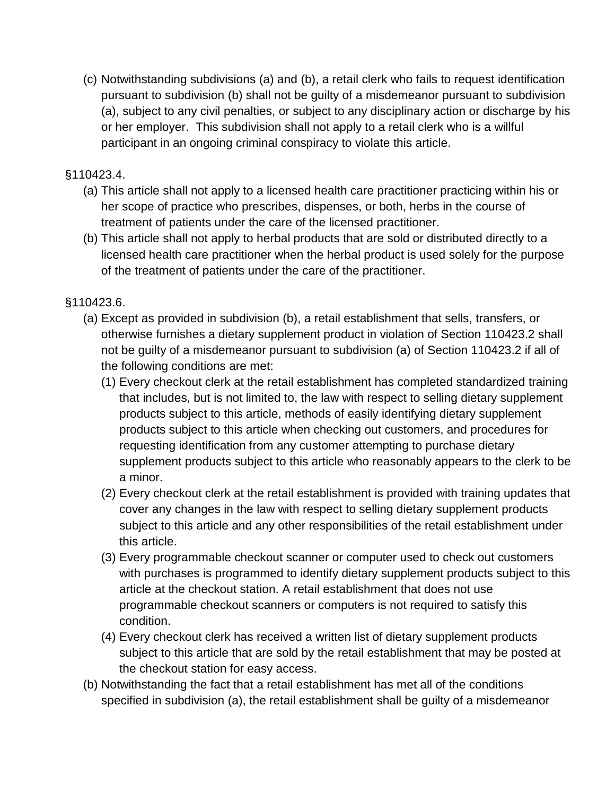(c) Notwithstanding subdivisions (a) and (b), a retail clerk who fails to request identification pursuant to subdivision (b) shall not be guilty of a misdemeanor pursuant to subdivision (a), subject to any civil penalties, or subject to any disciplinary action or discharge by his or her employer. This subdivision shall not apply to a retail clerk who is a willful participant in an ongoing criminal conspiracy to violate this article.

#### §110423.4.

- (a) This article shall not apply to a licensed health care practitioner practicing within his or her scope of practice who prescribes, dispenses, or both, herbs in the course of treatment of patients under the care of the licensed practitioner.
- (b) This article shall not apply to herbal products that are sold or distributed directly to a licensed health care practitioner when the herbal product is used solely for the purpose of the treatment of patients under the care of the practitioner.

## §110423.6.

- (a) Except as provided in subdivision (b), a retail establishment that sells, transfers, or otherwise furnishes a dietary supplement product in violation of Section 110423.2 shall not be guilty of a misdemeanor pursuant to subdivision (a) of Section 110423.2 if all of the following conditions are met:
	- (1) Every checkout clerk at the retail establishment has completed standardized training that includes, but is not limited to, the law with respect to selling dietary supplement products subject to this article, methods of easily identifying dietary supplement products subject to this article when checking out customers, and procedures for requesting identification from any customer attempting to purchase dietary supplement products subject to this article who reasonably appears to the clerk to be a minor.
	- (2) Every checkout clerk at the retail establishment is provided with training updates that cover any changes in the law with respect to selling dietary supplement products subject to this article and any other responsibilities of the retail establishment under this article.
	- (3) Every programmable checkout scanner or computer used to check out customers with purchases is programmed to identify dietary supplement products subject to this article at the checkout station. A retail establishment that does not use programmable checkout scanners or computers is not required to satisfy this condition.
	- (4) Every checkout clerk has received a written list of dietary supplement products subject to this article that are sold by the retail establishment that may be posted at the checkout station for easy access.
- (b) Notwithstanding the fact that a retail establishment has met all of the conditions specified in subdivision (a), the retail establishment shall be guilty of a misdemeanor